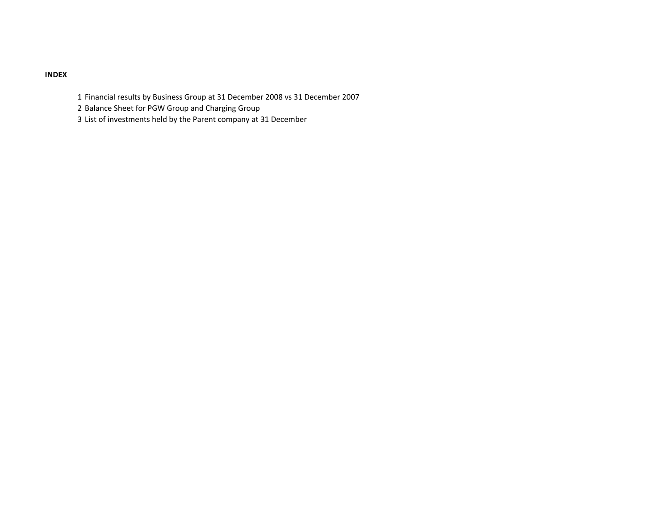## INDEX

- 1 Financial results by Business Group at 31 December 2008 vs 31 December 2007
- 2 Balance Sheet for PGW Group and Charging Group
- 3 List of investments held by the Parent company at 31 December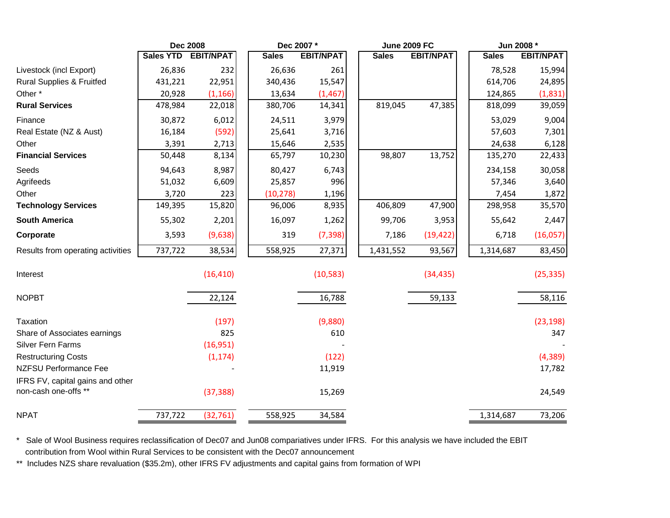| <b>Sales YTD</b><br><b>EBIT/NPAT</b><br><b>EBIT/NPAT</b><br><b>EBIT/NPAT</b><br><b>Sales</b><br><b>Sales</b><br><b>Sales</b><br>232<br>Livestock (incl Export)<br>26,836<br>26,636<br>261<br>78,528<br><b>Rural Supplies &amp; Fruitfed</b><br>22,951<br>15,547<br>614,706<br>431,221<br>340,436<br>Other*<br>20,928<br>(1, 166)<br>13,634<br>(1, 467)<br>124,865<br>819,045<br>47,385<br><b>Rural Services</b><br>478,984<br>22,018<br>380,706<br>14,341<br>818,099<br>Finance<br>30,872<br>6,012<br>3,979<br>53,029<br>24,511<br>Real Estate (NZ & Aust)<br>(592)<br>16,184<br>25,641<br>3,716<br>57,603<br>Other<br>3,391<br>2,713<br>15,646<br>2,535<br>24,638<br><b>Financial Services</b><br>98,807<br>13,752<br>8,134<br>50,448<br>65,797<br>10,230<br>135,270<br>Seeds<br>8,987<br>6,743<br>94,643<br>80,427<br>234,158<br>996<br>Agrifeeds<br>6,609<br>25,857<br>57,346<br>51,032<br>Other<br>3,720<br>223<br>1,196<br>(10, 278)<br>7,454<br>15,820<br>406,809<br>47,900<br><b>Technology Services</b><br>96,006<br>8,935<br>298,958<br>149,395<br><b>South America</b><br>55,302<br>2,201<br>16,097<br>1,262<br>3,953<br>55,642<br>99,706<br>Corporate<br>(9,638)<br>319<br>(7, 398)<br>(19, 422)<br>3,593<br>7,186<br>6,718<br>737,722<br>38,534<br>558,925<br>27,371<br>Results from operating activities<br>1,431,552<br>93,567<br>1,314,687<br>(10, 583)<br>Interest<br>(16, 410)<br>(34, 435)<br><b>NOPBT</b><br>22,124<br>16,788<br>59,133<br><b>Taxation</b><br>(197)<br>(9,880)<br>825<br>610<br>Share of Associates earnings<br><b>Silver Fern Farms</b><br>(16,951)<br><b>Restructuring Costs</b><br>(1, 174)<br>(122) | <b>EBIT/NPAT</b> |
|--------------------------------------------------------------------------------------------------------------------------------------------------------------------------------------------------------------------------------------------------------------------------------------------------------------------------------------------------------------------------------------------------------------------------------------------------------------------------------------------------------------------------------------------------------------------------------------------------------------------------------------------------------------------------------------------------------------------------------------------------------------------------------------------------------------------------------------------------------------------------------------------------------------------------------------------------------------------------------------------------------------------------------------------------------------------------------------------------------------------------------------------------------------------------------------------------------------------------------------------------------------------------------------------------------------------------------------------------------------------------------------------------------------------------------------------------------------------------------------------------------------------------------------------------------------------------------------------------------------------------------------------|------------------|
|                                                                                                                                                                                                                                                                                                                                                                                                                                                                                                                                                                                                                                                                                                                                                                                                                                                                                                                                                                                                                                                                                                                                                                                                                                                                                                                                                                                                                                                                                                                                                                                                                                            |                  |
|                                                                                                                                                                                                                                                                                                                                                                                                                                                                                                                                                                                                                                                                                                                                                                                                                                                                                                                                                                                                                                                                                                                                                                                                                                                                                                                                                                                                                                                                                                                                                                                                                                            | 15,994           |
|                                                                                                                                                                                                                                                                                                                                                                                                                                                                                                                                                                                                                                                                                                                                                                                                                                                                                                                                                                                                                                                                                                                                                                                                                                                                                                                                                                                                                                                                                                                                                                                                                                            | 24,895           |
|                                                                                                                                                                                                                                                                                                                                                                                                                                                                                                                                                                                                                                                                                                                                                                                                                                                                                                                                                                                                                                                                                                                                                                                                                                                                                                                                                                                                                                                                                                                                                                                                                                            | (1,831)          |
|                                                                                                                                                                                                                                                                                                                                                                                                                                                                                                                                                                                                                                                                                                                                                                                                                                                                                                                                                                                                                                                                                                                                                                                                                                                                                                                                                                                                                                                                                                                                                                                                                                            | 39,059           |
|                                                                                                                                                                                                                                                                                                                                                                                                                                                                                                                                                                                                                                                                                                                                                                                                                                                                                                                                                                                                                                                                                                                                                                                                                                                                                                                                                                                                                                                                                                                                                                                                                                            | 9,004            |
|                                                                                                                                                                                                                                                                                                                                                                                                                                                                                                                                                                                                                                                                                                                                                                                                                                                                                                                                                                                                                                                                                                                                                                                                                                                                                                                                                                                                                                                                                                                                                                                                                                            | 7,301            |
|                                                                                                                                                                                                                                                                                                                                                                                                                                                                                                                                                                                                                                                                                                                                                                                                                                                                                                                                                                                                                                                                                                                                                                                                                                                                                                                                                                                                                                                                                                                                                                                                                                            | 6,128            |
|                                                                                                                                                                                                                                                                                                                                                                                                                                                                                                                                                                                                                                                                                                                                                                                                                                                                                                                                                                                                                                                                                                                                                                                                                                                                                                                                                                                                                                                                                                                                                                                                                                            | 22,433           |
|                                                                                                                                                                                                                                                                                                                                                                                                                                                                                                                                                                                                                                                                                                                                                                                                                                                                                                                                                                                                                                                                                                                                                                                                                                                                                                                                                                                                                                                                                                                                                                                                                                            | 30,058           |
|                                                                                                                                                                                                                                                                                                                                                                                                                                                                                                                                                                                                                                                                                                                                                                                                                                                                                                                                                                                                                                                                                                                                                                                                                                                                                                                                                                                                                                                                                                                                                                                                                                            | 3,640            |
|                                                                                                                                                                                                                                                                                                                                                                                                                                                                                                                                                                                                                                                                                                                                                                                                                                                                                                                                                                                                                                                                                                                                                                                                                                                                                                                                                                                                                                                                                                                                                                                                                                            | 1,872            |
|                                                                                                                                                                                                                                                                                                                                                                                                                                                                                                                                                                                                                                                                                                                                                                                                                                                                                                                                                                                                                                                                                                                                                                                                                                                                                                                                                                                                                                                                                                                                                                                                                                            | 35,570           |
|                                                                                                                                                                                                                                                                                                                                                                                                                                                                                                                                                                                                                                                                                                                                                                                                                                                                                                                                                                                                                                                                                                                                                                                                                                                                                                                                                                                                                                                                                                                                                                                                                                            | 2,447            |
|                                                                                                                                                                                                                                                                                                                                                                                                                                                                                                                                                                                                                                                                                                                                                                                                                                                                                                                                                                                                                                                                                                                                                                                                                                                                                                                                                                                                                                                                                                                                                                                                                                            | (16,057)         |
|                                                                                                                                                                                                                                                                                                                                                                                                                                                                                                                                                                                                                                                                                                                                                                                                                                                                                                                                                                                                                                                                                                                                                                                                                                                                                                                                                                                                                                                                                                                                                                                                                                            | 83,450           |
|                                                                                                                                                                                                                                                                                                                                                                                                                                                                                                                                                                                                                                                                                                                                                                                                                                                                                                                                                                                                                                                                                                                                                                                                                                                                                                                                                                                                                                                                                                                                                                                                                                            | (25, 335)        |
|                                                                                                                                                                                                                                                                                                                                                                                                                                                                                                                                                                                                                                                                                                                                                                                                                                                                                                                                                                                                                                                                                                                                                                                                                                                                                                                                                                                                                                                                                                                                                                                                                                            | 58,116           |
|                                                                                                                                                                                                                                                                                                                                                                                                                                                                                                                                                                                                                                                                                                                                                                                                                                                                                                                                                                                                                                                                                                                                                                                                                                                                                                                                                                                                                                                                                                                                                                                                                                            | (23, 198)        |
|                                                                                                                                                                                                                                                                                                                                                                                                                                                                                                                                                                                                                                                                                                                                                                                                                                                                                                                                                                                                                                                                                                                                                                                                                                                                                                                                                                                                                                                                                                                                                                                                                                            | 347              |
|                                                                                                                                                                                                                                                                                                                                                                                                                                                                                                                                                                                                                                                                                                                                                                                                                                                                                                                                                                                                                                                                                                                                                                                                                                                                                                                                                                                                                                                                                                                                                                                                                                            |                  |
|                                                                                                                                                                                                                                                                                                                                                                                                                                                                                                                                                                                                                                                                                                                                                                                                                                                                                                                                                                                                                                                                                                                                                                                                                                                                                                                                                                                                                                                                                                                                                                                                                                            | (4, 389)         |
| <b>NZFSU Performance Fee</b><br>11,919                                                                                                                                                                                                                                                                                                                                                                                                                                                                                                                                                                                                                                                                                                                                                                                                                                                                                                                                                                                                                                                                                                                                                                                                                                                                                                                                                                                                                                                                                                                                                                                                     | 17,782           |
| IFRS FV, capital gains and other                                                                                                                                                                                                                                                                                                                                                                                                                                                                                                                                                                                                                                                                                                                                                                                                                                                                                                                                                                                                                                                                                                                                                                                                                                                                                                                                                                                                                                                                                                                                                                                                           |                  |
| non-cash one-offs **<br>(37, 388)<br>15,269                                                                                                                                                                                                                                                                                                                                                                                                                                                                                                                                                                                                                                                                                                                                                                                                                                                                                                                                                                                                                                                                                                                                                                                                                                                                                                                                                                                                                                                                                                                                                                                                | 24,549           |
| <b>NPAT</b><br>737,722<br>(32, 761)<br>34,584<br>558,925<br>1,314,687                                                                                                                                                                                                                                                                                                                                                                                                                                                                                                                                                                                                                                                                                                                                                                                                                                                                                                                                                                                                                                                                                                                                                                                                                                                                                                                                                                                                                                                                                                                                                                      | 73,206           |

\* Sale of Wool Business requires reclassification of Dec07 and Jun08 compariatives under IFRS. For this analysis we have included the EBITcontribution from Wool within Rural Services to be consistent with the Dec07 announcement

\*\* Includes NZS share revaluation (\$35.2m), other IFRS FV adjustments and capital gains from formation of WPI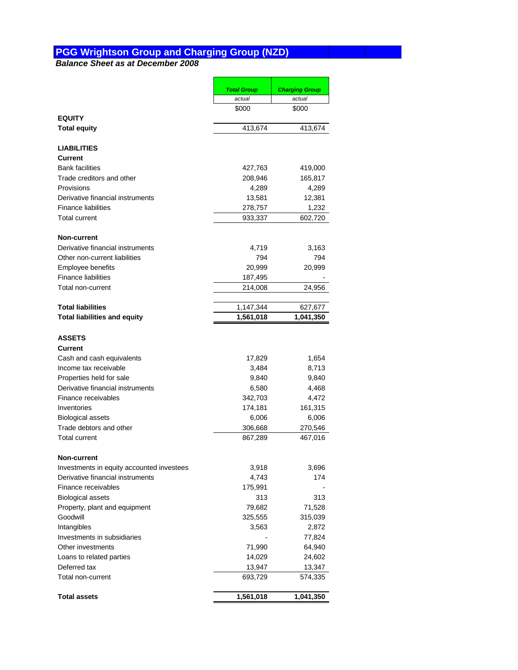## **PGG Wrightson Group and Charging Group (NZD)**

**Balance Sheet as at December 2008**

|                                           | <b>Total Group</b> | <b>Charging Group</b> |
|-------------------------------------------|--------------------|-----------------------|
|                                           | actual             | actual                |
|                                           | \$000              | \$000                 |
| <b>EQUITY</b>                             |                    |                       |
| <b>Total equity</b>                       | 413,674            | 413,674               |
| <b>LIABILITIES</b>                        |                    |                       |
| Current                                   |                    |                       |
| <b>Bank facilities</b>                    | 427,763            | 419,000               |
| Trade creditors and other                 | 208,946            | 165,817               |
| Provisions                                | 4,289              | 4,289                 |
| Derivative financial instruments          | 13,581             | 12,381                |
| <b>Finance liabilities</b>                | 278,757            | 1,232                 |
| <b>Total current</b>                      | 933,337            | 602,720               |
| <b>Non-current</b>                        |                    |                       |
| Derivative financial instruments          | 4,719              | 3,163                 |
| Other non-current liabilities             | 794                | 794                   |
| Employee benefits                         | 20,999             | 20,999                |
| <b>Finance liabilities</b>                | 187,495            |                       |
| Total non-current                         | 214,008            | 24,956                |
|                                           |                    |                       |
| <b>Total liabilities</b>                  | 1,147,344          | 627,677               |
| <b>Total liabilities and equity</b>       | 1,561,018          | 1,041,350             |
| <b>ASSETS</b>                             |                    |                       |
| Current                                   |                    |                       |
| Cash and cash equivalents                 | 17,829             | 1,654                 |
| Income tax receivable                     | 3,484              | 8,713                 |
| Properties held for sale                  | 9,840              | 9,840                 |
| Derivative financial instruments          | 6,580              | 4,468                 |
| Finance receivables                       | 342,703            | 4,472                 |
| Inventories                               | 174,181            | 161,315               |
| <b>Biological assets</b>                  | 6,006              | 6,006                 |
| Trade debtors and other                   | 306,668            | 270,546               |
| <b>Total current</b>                      | 867,289            | 467,016               |
|                                           |                    |                       |
| Non-current                               |                    |                       |
| Investments in equity accounted investees | 3,918              | 3,696                 |
| Derivative financial instruments          | 4,743              | 174                   |
| Finance receivables                       | 175,991            |                       |
| <b>Biological assets</b>                  | 313                | 313                   |
| Property, plant and equipment             | 79,682             | 71,528                |
| Goodwill                                  | 325,555            | 315,039               |
| Intangibles                               | 3,563              | 2,872                 |
| Investments in subsidiaries               |                    | 77,824                |
| Other investments                         | 71,990             | 64,940                |
| Loans to related parties                  | 14,029             | 24,602                |
| Deferred tax                              | 13,947             | 13,347                |
| Total non-current                         | 693,729            | 574,335               |
| <b>Total assets</b>                       | 1,561,018          | 1,041,350             |